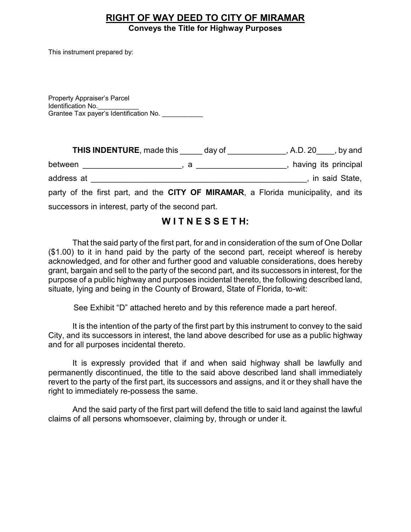#### **RIGHT OF WAY DEED TO CITY OF MIRAMAR Conveys the Title for Highway Purposes**

This instrument prepared by:

Property Appraiser's Parcel Identification No.\_\_\_\_\_\_\_\_\_\_\_ Grantee Tax payer's Identification No. \_\_\_\_\_\_\_\_\_\_\_

|                                                   | <b>THIS INDENTURE, made this</b>                                                                                                                                                                                                                                                                                                                              | day of |  | , A.D. $20$ , by and |  |
|---------------------------------------------------|---------------------------------------------------------------------------------------------------------------------------------------------------------------------------------------------------------------------------------------------------------------------------------------------------------------------------------------------------------------|--------|--|----------------------|--|
| between                                           | $\alpha$ , $\alpha$ , $\alpha$ , $\alpha$ , $\alpha$ , $\alpha$ , $\alpha$ , $\alpha$ , $\alpha$ , $\alpha$ , $\alpha$ , $\alpha$ , $\alpha$ , $\alpha$ , $\alpha$ , $\alpha$ , $\alpha$ , $\alpha$ , $\alpha$ , $\alpha$ , $\alpha$ , $\alpha$ , $\alpha$ , $\alpha$ , $\alpha$ , $\alpha$ , $\alpha$ , $\alpha$ , $\alpha$ , $\alpha$ , $\alpha$ , $\alpha$ |        |  | having its principal |  |
| address at                                        |                                                                                                                                                                                                                                                                                                                                                               |        |  | , in said State,     |  |
|                                                   | party of the first part, and the CITY OF MIRAMAR, a Florida municipality, and its                                                                                                                                                                                                                                                                             |        |  |                      |  |
| successors in interest, party of the second part. |                                                                                                                                                                                                                                                                                                                                                               |        |  |                      |  |

# **W I T N E S S E T H:**

 That the said party of the first part, for and in consideration of the sum of One Dollar (\$1.00) to it in hand paid by the party of the second part, receipt whereof is hereby acknowledged, and for other and further good and valuable considerations, does hereby grant, bargain and sell to the party of the second part, and its successors in interest, for the purpose of a public highway and purposes incidental thereto, the following described land, situate, lying and being in the County of Broward, State of Florida, to-wit:

See Exhibit "D" attached hereto and by this reference made a part hereof.

 City, and its successors in interest, the land above described for use as a public highway It is the intention of the party of the first part by this instrument to convey to the said and for all purposes incidental thereto.

 permanently discontinued, the title to the said above described land shall immediately revert to the party of the first part, its successors and assigns, and it or they shall have the It is expressly provided that if and when said highway shall be lawfully and right to immediately re-possess the same.

And the said party of the first part will defend the title to said land against the lawful claims of all persons whomsoever, claiming by, through or under it.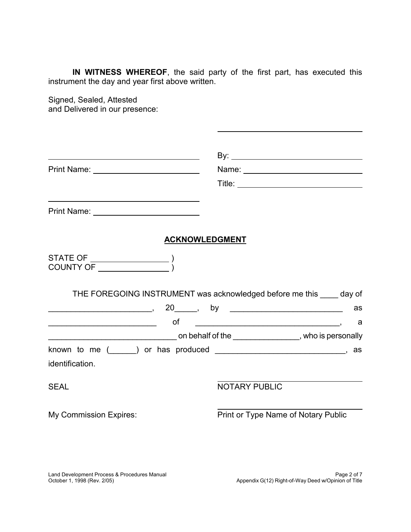**IN WITNESS WHEREOF**, the said party of the first part, has executed this instrument the day and year first above written.

 $\ddot{\phantom{a}}$ 

Signed, Sealed, Attested and Delivered in our presence:

| Print Name: <u>2008 - 2008 - 2014 - 2014</u>                                                   |                                                                       |
|------------------------------------------------------------------------------------------------|-----------------------------------------------------------------------|
|                                                                                                |                                                                       |
|                                                                                                |                                                                       |
| <b>ACKNOWLEDGMENT</b>                                                                          |                                                                       |
|                                                                                                |                                                                       |
|                                                                                                | THE FOREGOING INSTRUMENT was acknowledged before me this _____ day of |
|                                                                                                | as                                                                    |
|                                                                                                |                                                                       |
| known to me (______) or has produced __________________________________, as<br>identification. |                                                                       |
| <b>SEAL</b>                                                                                    | <b>NOTARY PUBLIC</b>                                                  |
| <b>My Commission Expires:</b>                                                                  | Print or Type Name of Notary Public                                   |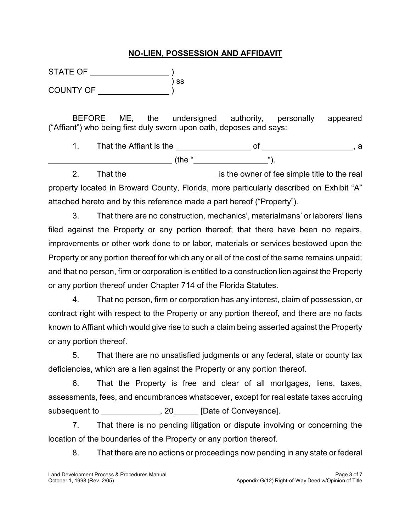## **NO-LIEN, POSSESSION AND AFFIDAVIT**

STATE OF ) COUNTY OF ) ss

 $\ddot{\phantom{a}}$ 

 ("Affiant") who being first duly sworn upon oath, deposes and says: BEFORE ME, the undersigned authority, personally appeared

 1. That the Affiant is the of , a (the " ").

 property located in Broward County, Florida, more particularly described on Exhibit "A" 2. That the <u>influence is the owner of fee simple title to the real</u> attached hereto and by this reference made a part hereof ("Property").

 filed against the Property or any portion thereof; that there have been no repairs, improvements or other work done to or labor, materials or services bestowed upon the Property or any portion thereof for which any or all of the cost of the same remains unpaid; and that no person, firm or corporation is entitled to a construction lien against the Property 3. That there are no construction, mechanics', materialmans' or laborers' liens or any portion thereof under Chapter 714 of the Florida Statutes.

 4. That no person, firm or corporation has any interest, claim of possession, or contract right with respect to the Property or any portion thereof, and there are no facts known to Affiant which would give rise to such a claim being asserted against the Property or any portion thereof.

 5. That there are no unsatisfied judgments or any federal, state or county tax deficiencies, which are a lien against the Property or any portion thereof.

 6. That the Property is free and clear of all mortgages, liens, taxes, assessments, fees, and encumbrances whatsoever, except for real estate taxes accruing subsequent to \_\_\_\_\_\_\_\_\_\_\_\_\_\_, 20\_\_\_\_\_\_ [Date of Conveyance].

 7. That there is no pending litigation or dispute involving or concerning the location of the boundaries of the Property or any portion thereof.

8. That there are no actions or proceedings now pending in any state or federal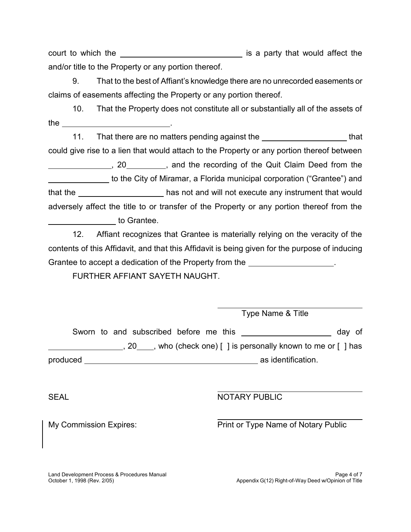court to which the \_\_\_\_\_\_\_\_\_\_\_\_\_\_\_\_\_\_\_\_\_\_\_\_\_\_\_\_\_\_\_ is a party that would affect the and/or title to the Property or any portion thereof.

9. 9. That to the best of Affiant's knowledge there are no unrecorded easements or claims of easements affecting the Property or any portion thereof.

 10. That the Property does not constitute all or substantially all of the assets of the \_\_\_\_\_\_\_\_\_\_\_\_\_\_\_\_\_\_\_\_\_\_\_\_\_\_\_\_\_\_\_.

11. That there are no matters pending against the **that** that that could give rise to a lien that would attach to the Property or any portion thereof between  $\overline{a}$  $\overline{a}$ that the \_\_\_\_\_\_\_\_\_\_\_\_\_\_\_\_\_\_\_\_\_ has not and will not execute any instrument that would adversely affect the title to or transfer of the Property or any portion thereof from the  $\overline{a}$ , 20 , and the recording of the Quit Claim Deed from the to the City of Miramar, a Florida municipal corporation ("Grantee") and to Grantee.

 12. Affiant recognizes that Grantee is materially relying on the veracity of the contents of this Affidavit, and that this Affidavit is being given for the purpose of inducing Grantee to accept a dedication of the Property from the \_\_\_\_\_\_\_\_\_\_\_\_\_\_\_\_\_\_\_.

FURTHER AFFIANT SAYETH NAUGHT.

|          |  | Sworn to and subscribed before me this |  |                                                                                                     | day of |
|----------|--|----------------------------------------|--|-----------------------------------------------------------------------------------------------------|--------|
|          |  |                                        |  | , 20 , who (check one) $\lceil \cdot \rceil$ is personally known to me or $\lceil \cdot \rceil$ has |        |
| produced |  |                                        |  | as identification.                                                                                  |        |

 $\ddot{\phantom{a}}$ 

**SEAL** 

**NOTARY PUBLIC** 

My Commission Expires: Print or Type Name of Notary Public

Type Name & Title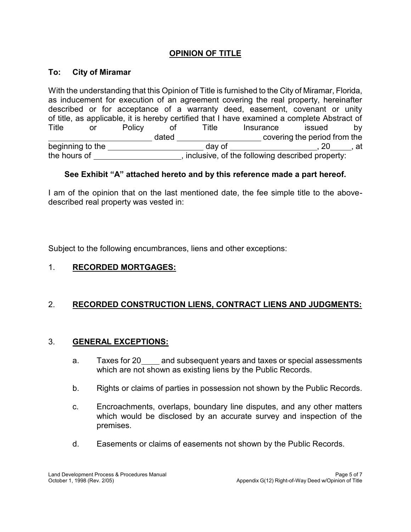# **OPINION OF TITLE**

#### **To: City of Miramar**

 With the understanding that this Opinion of Title is furnished to the City of Miramar, Florida, as inducement for execution of an agreement covering the real property, hereinafter described or for acceptance of a warranty deed, easement, covenant or unity of title, as applicable, it is hereby certified that I have examined a complete Abstract of Policy  $\overline{a}$ beginning to the state of the state of the state of the state of the state of the state of the state of the state of the state of the state of the state of the state of the state of the state of the state of the state of t the hours of \_\_\_\_\_\_\_\_\_\_\_\_\_\_\_\_\_\_\_\_, inclusive, of the following described property: Title or Policy of Title Insurance issued by dated \_\_\_\_\_\_\_\_\_\_\_\_\_\_\_\_\_\_\_\_\_\_\_\_\_\_ covering the period from the day of beginning to the day  $\sim$  , 20 , at

### **See Exhibit "A" attached hereto and by this reference made a part hereof.**

 I am of the opinion that on the last mentioned date, the fee simple title to the abovedescribed real property was vested in:

Subject to the following encumbrances, liens and other exceptions:

## 1. **RECORDED MORTGAGES:**

# 2. **RECORDED CONSTRUCTION LIENS, CONTRACT LIENS AND JUDGMENTS:**

### 3. **GENERAL EXCEPTIONS:**

- a. Taxes for 20\_\_\_\_ and subsequent years and taxes or special assessments which are not shown as existing liens by the Public Records.
- b. Rights or claims of parties in possession not shown by the Public Records.
- c. Encroachments, overlaps, boundary line disputes, and any other matters which would be disclosed by an accurate survey and inspection of the premises.
- d. Easements or claims of easements not shown by the Public Records.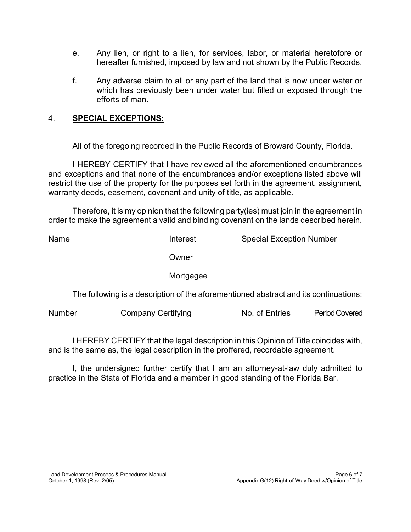- $e_{\cdot}$  hereafter furnished, imposed by law and not shown by the Public Records. e. Any lien, or right to a lien, for services, labor, or material heretofore or
- f. which has previously been under water but filled or exposed through the Any adverse claim to all or any part of the land that is now under water or efforts of man.

## 4. **SPECIAL EXCEPTIONS:**

All of the foregoing recorded in the Public Records of Broward County, Florida.

 I HEREBY CERTIFY that I have reviewed all the aforementioned encumbrances and exceptions and that none of the encumbrances and/or exceptions listed above will restrict the use of the property for the purposes set forth in the agreement, assignment, warranty deeds, easement, covenant and unity of title, as applicable.

 Therefore, it is my opinion that the following party(ies) must join in the agreement in order to make the agreement a valid and binding covenant on the lands described herein.

Interest **Period Covered** Name **Interest** Special Exception Number **Owner** Mortgagee The following is a description of the aforementioned abstract and its continuations: Number Company Certifying No. of Entries

 I HEREBY CERTIFY that the legal description in this Opinion of Title coincides with, and is the same as, the legal description in the proffered, recordable agreement.

I, the undersigned further certify that I am an attorney-at-law duly admitted to practice in the State of Florida and a member in good standing of the Florida Bar.